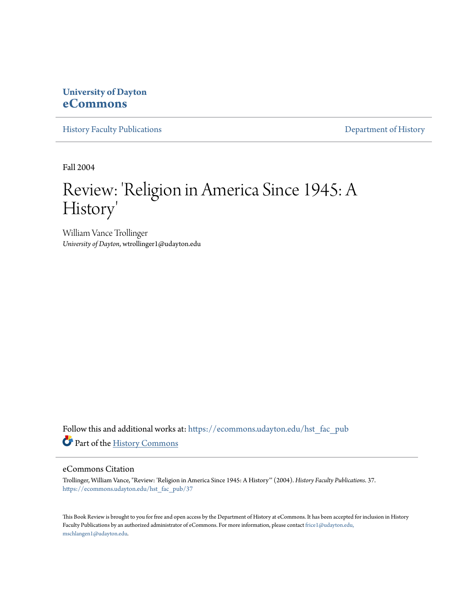## **University of Dayton [eCommons](https://ecommons.udayton.edu?utm_source=ecommons.udayton.edu%2Fhst_fac_pub%2F37&utm_medium=PDF&utm_campaign=PDFCoverPages)**

[History Faculty Publications](https://ecommons.udayton.edu/hst_fac_pub?utm_source=ecommons.udayton.edu%2Fhst_fac_pub%2F37&utm_medium=PDF&utm_campaign=PDFCoverPages) **Exercise 2** Pepartment of History

Fall 2004

## Review: 'Religion in America Since 1945: A History '

William Vance Trollinger *University of Dayton*, wtrollinger1@udayton.edu

Follow this and additional works at: [https://ecommons.udayton.edu/hst\\_fac\\_pub](https://ecommons.udayton.edu/hst_fac_pub?utm_source=ecommons.udayton.edu%2Fhst_fac_pub%2F37&utm_medium=PDF&utm_campaign=PDFCoverPages) Part of the [History Commons](http://network.bepress.com/hgg/discipline/489?utm_source=ecommons.udayton.edu%2Fhst_fac_pub%2F37&utm_medium=PDF&utm_campaign=PDFCoverPages)

## eCommons Citation

Trollinger, William Vance, "Review: 'Religion in America Since 1945: A History'" (2004). *History Faculty Publications*. 37. [https://ecommons.udayton.edu/hst\\_fac\\_pub/37](https://ecommons.udayton.edu/hst_fac_pub/37?utm_source=ecommons.udayton.edu%2Fhst_fac_pub%2F37&utm_medium=PDF&utm_campaign=PDFCoverPages)

This Book Review is brought to you for free and open access by the Department of History at eCommons. It has been accepted for inclusion in History Faculty Publications by an authorized administrator of eCommons. For more information, please contact [frice1@udayton.edu,](mailto:frice1@udayton.edu,%20mschlangen1@udayton.edu) [mschlangen1@udayton.edu.](mailto:frice1@udayton.edu,%20mschlangen1@udayton.edu)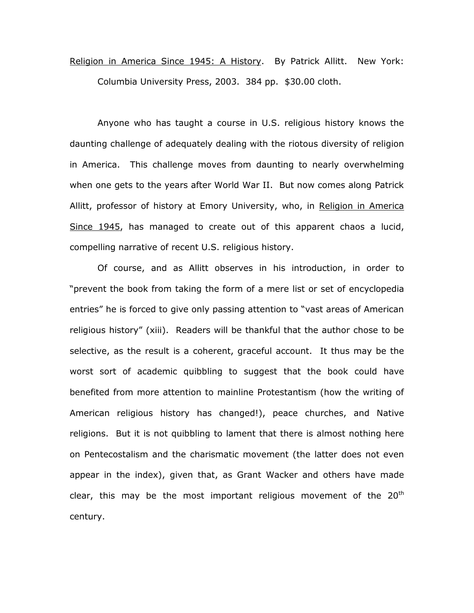## Religion in America Since 1945: A History. By Patrick Allitt. New York: Columbia University Press, 2003. 384 pp. \$30.00 cloth.

Anyone who has taught a course in U.S. religious history knows the daunting challenge of adequately dealing with the riotous diversity of religion in America. This challenge moves from daunting to nearly overwhelming when one gets to the years after World War II. But now comes along Patrick Allitt, professor of history at Emory University, who, in Religion in America Since 1945, has managed to create out of this apparent chaos a lucid, compelling narrative of recent U.S. religious history.

Of course, and as Allitt observes in his introduction, in order to "prevent the book from taking the form of a mere list or set of encyclopedia entries" he is forced to give only passing attention to "vast areas of American religious history" (xiii). Readers will be thankful that the author chose to be selective, as the result is a coherent, graceful account. It thus may be the worst sort of academic quibbling to suggest that the book could have benefited from more attention to mainline Protestantism (how the writing of American religious history has changed!), peace churches, and Native religions. But it is not quibbling to lament that there is almost nothing here on Pentecostalism and the charismatic movement (the latter does not even appear in the index), given that, as Grant Wacker and others have made clear, this may be the most important religious movement of the  $20<sup>th</sup>$ century.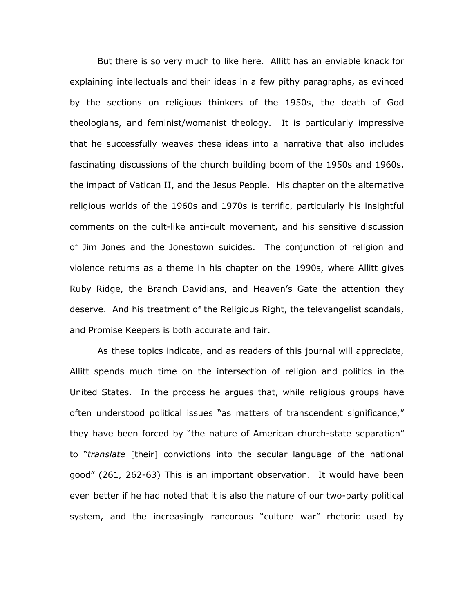But there is so very much to like here. Allitt has an enviable knack for explaining intellectuals and their ideas in a few pithy paragraphs, as evinced by the sections on religious thinkers of the 1950s, the death of God theologians, and feminist/womanist theology. It is particularly impressive that he successfully weaves these ideas into a narrative that also includes fascinating discussions of the church building boom of the 1950s and 1960s, the impact of Vatican II, and the Jesus People. His chapter on the alternative religious worlds of the 1960s and 1970s is terrific, particularly his insightful comments on the cult-like anti-cult movement, and his sensitive discussion of Jim Jones and the Jonestown suicides. The conjunction of religion and violence returns as a theme in his chapter on the 1990s, where Allitt gives Ruby Ridge, the Branch Davidians, and Heaven's Gate the attention they deserve. And his treatment of the Religious Right, the televangelist scandals, and Promise Keepers is both accurate and fair.

As these topics indicate, and as readers of this journal will appreciate, Allitt spends much time on the intersection of religion and politics in the United States. In the process he argues that, while religious groups have often understood political issues "as matters of transcendent significance," they have been forced by "the nature of American church-state separation" to "*translate* [their] convictions into the secular language of the national good" (261, 262-63) This is an important observation. It would have been even better if he had noted that it is also the nature of our two-party political system, and the increasingly rancorous "culture war" rhetoric used by